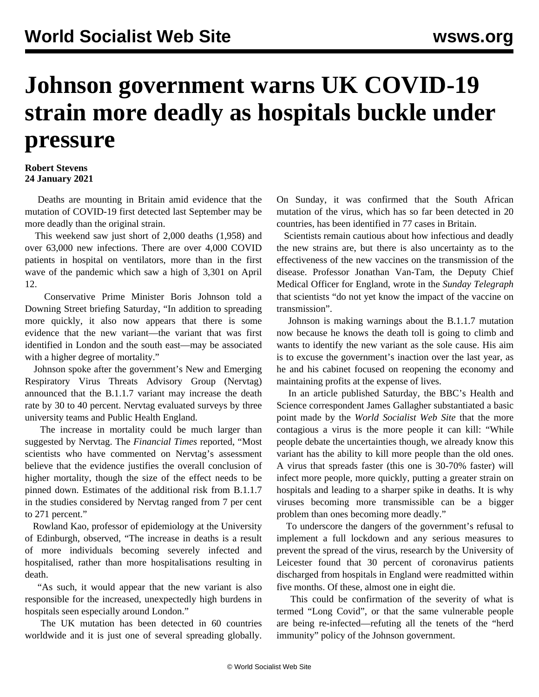## **Johnson government warns UK COVID-19 strain more deadly as hospitals buckle under pressure**

## **Robert Stevens 24 January 2021**

 Deaths are mounting in Britain amid evidence that the mutation of COVID-19 first detected last September may be more deadly than the original strain.

 This weekend saw just short of 2,000 deaths (1,958) and over 63,000 new infections. There are over 4,000 COVID patients in hospital on ventilators, more than in the first wave of the pandemic which saw a high of 3,301 on April 12.

 Conservative Prime Minister Boris Johnson told a Downing Street briefing Saturday, "In addition to spreading more quickly, it also now appears that there is some evidence that the new variant—the variant that was first identified in London and the south east—may be associated with a higher degree of mortality."

 Johnson spoke after the government's New and Emerging Respiratory Virus Threats Advisory Group (Nervtag) announced that the B.1.1.7 variant may increase the death rate by 30 to 40 percent. Nervtag evaluated surveys by three university teams and Public Health England.

 The increase in mortality could be much larger than suggested by Nervtag. The *Financial Times* reported, "Most scientists who have commented on Nervtag's assessment believe that the evidence justifies the overall conclusion of higher mortality, though the size of the effect needs to be pinned down. Estimates of the additional risk from B.1.1.7 in the studies considered by Nervtag ranged from 7 per cent to 271 percent."

 Rowland Kao, professor of epidemiology at the University of Edinburgh, observed, "The increase in deaths is a result of more individuals becoming severely infected and hospitalised, rather than more hospitalisations resulting in death.

 "As such, it would appear that the new variant is also responsible for the increased, unexpectedly high burdens in hospitals seen especially around London."

 The UK mutation has been detected in 60 countries worldwide and it is just one of several spreading globally.

On Sunday, it was confirmed that the South African mutation of the virus, which has so far been detected in 20 countries, has been identified in 77 cases in Britain.

 Scientists remain cautious about how infectious and deadly the new strains are, but there is also uncertainty as to the effectiveness of the new vaccines on the transmission of the disease. Professor Jonathan Van-Tam, the Deputy Chief Medical Officer for England, wrote in the *Sunday Telegraph* that scientists "do not yet know the impact of the vaccine on transmission".

 Johnson is making warnings about the B.1.1.7 mutation now because he knows the death toll is going to climb and wants to identify the new variant as the sole cause. His aim is to excuse the government's inaction over the last year, as he and his cabinet focused on reopening the economy and maintaining profits at the expense of lives.

 In an article published Saturday, the BBC's Health and Science correspondent James Gallagher substantiated a basic point made by the *World Socialist Web Site* that the more contagious a virus is the more people it can kill: "While people debate the uncertainties though, we already know this variant has the ability to kill more people than the old ones. A virus that spreads faster (this one is 30-70% faster) will infect more people, more quickly, putting a greater strain on hospitals and leading to a sharper spike in deaths. It is why viruses becoming more transmissible can be a bigger problem than ones becoming more deadly."

 To underscore the dangers of the government's refusal to implement a full lockdown and any serious measures to prevent the spread of the virus, research by the University of Leicester found that 30 percent of coronavirus patients discharged from hospitals in England were readmitted within five months. Of these, almost one in eight die.

 This could be confirmation of the severity of what is termed "Long Covid", or that the same vulnerable people are being re-infected—refuting all the tenets of the "herd immunity" policy of the Johnson government.